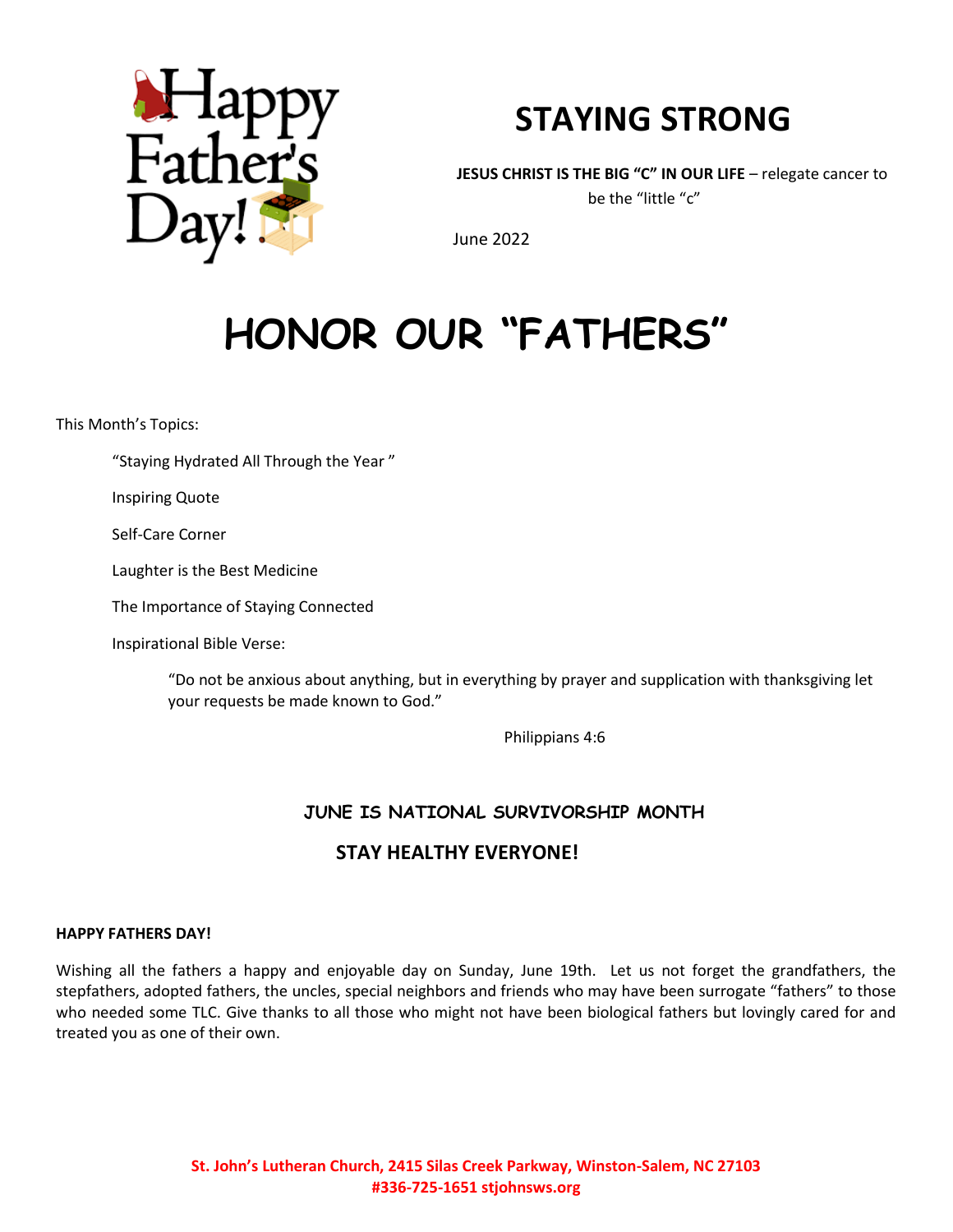

# **STAYING STRONG**

**JESUS CHRIST IS THE BIG "C" IN OUR LIFE** – relegate cancer to be the "little "c"

June 2022

# **HONOR OUR "FATHERS"**

This Month's Topics:

"Staying Hydrated All Through the Year "

Inspiring Quote

Self-Care Corner

Laughter is the Best Medicine

The Importance of Staying Connected

Inspirational Bible Verse:

"Do not be anxious about anything, but in everything by prayer and supplication with thanksgiving let your requests be made known to God."

Philippians 4:6

#### **JUNE IS NATIONAL SURVIVORSHIP MONTH**

## **STAY HEALTHY EVERYONE!**

#### **HAPPY FATHERS DAY!**

Wishing all the fathers a happy and enjoyable day on Sunday, June 19th. Let us not forget the grandfathers, the stepfathers, adopted fathers, the uncles, special neighbors and friends who may have been surrogate "fathers" to those who needed some TLC. Give thanks to all those who might not have been biological fathers but lovingly cared for and treated you as one of their own.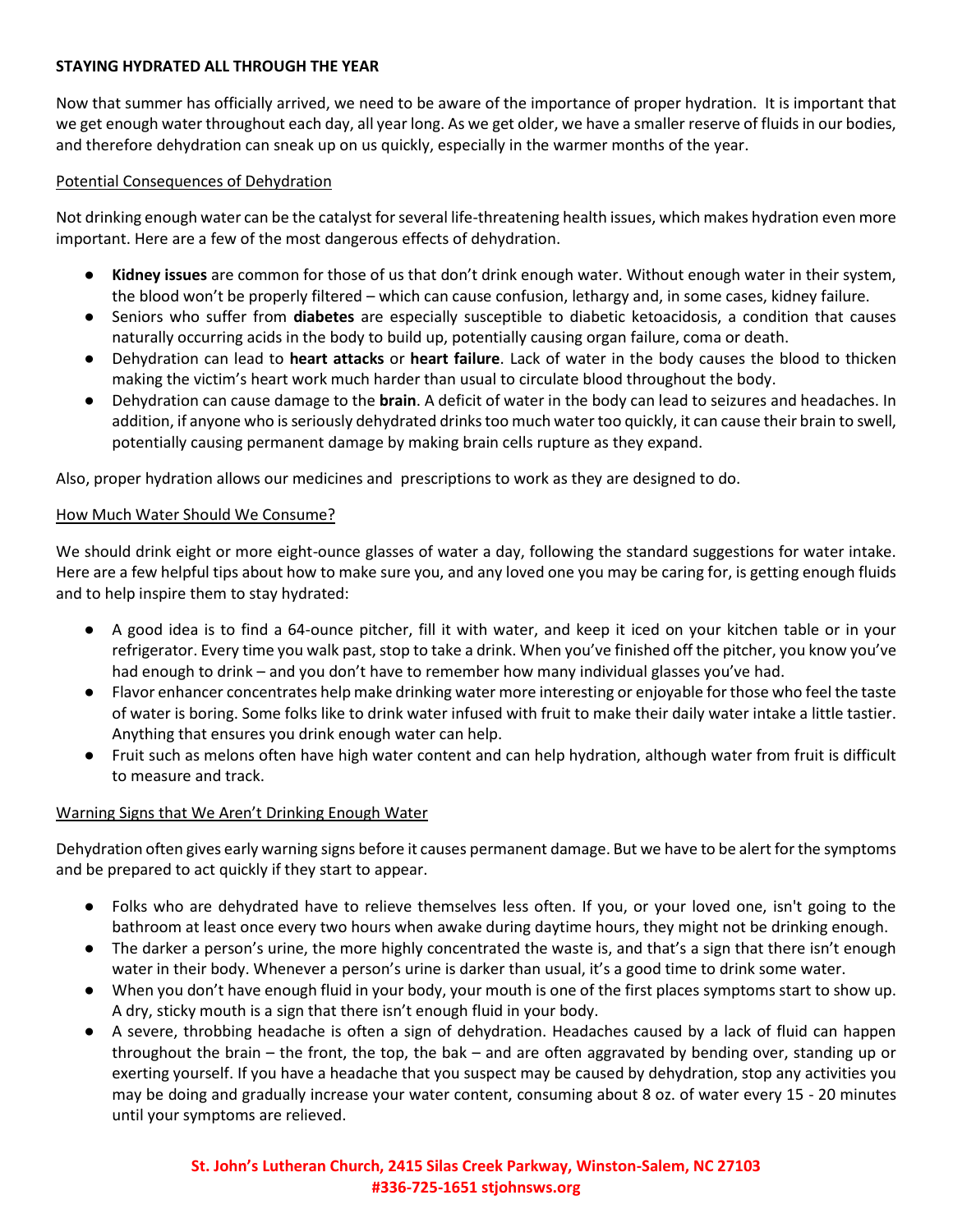#### **STAYING HYDRATED ALL THROUGH THE YEAR**

Now that summer has officially arrived, we need to be aware of the importance of proper hydration. It is important that we get enough water throughout each day, all year long. As we get older, we have a smaller reserve of fluids in our bodies, and therefore dehydration can sneak up on us quickly, especially in the warmer months of the year.

#### Potential Consequences of Dehydration

Not drinking enough water can be the catalyst for several life-threatening health issues, which makes hydration even more important. Here are a few of the most dangerous effects of dehydration.

- **Kidney issues** are common for those of us that don't drink enough water. Without enough water in their system, the blood won't be properly filtered – which can cause confusion, lethargy and, in some cases, kidney failure.
- Seniors who suffer from **diabetes** are especially susceptible to diabetic ketoacidosis, a condition that causes naturally occurring acids in the body to build up, potentially causing organ failure, coma or death.
- Dehydration can lead to **heart attacks** or **heart failure**. Lack of water in the body causes the blood to thicken making the victim's heart work much harder than usual to circulate blood throughout the body.
- Dehydration can cause damage to the **brain**. A deficit of water in the body can lead to seizures and headaches. In addition, if anyone who is seriously dehydrated drinks too much water too quickly, it can cause their brain to swell, potentially causing permanent damage by making brain cells rupture as they expand.

Also, proper hydration allows our medicines and prescriptions to work as they are designed to do.

#### How Much Water Should We Consume?

We should drink eight or more eight-ounce glasses of water a day, following the standard suggestions for water intake. Here are a few helpful tips about how to make sure you, and any loved one you may be caring for, is getting enough fluids and to help inspire them to stay hydrated:

- A good idea is to find a 64-ounce pitcher, fill it with water, and keep it iced on your kitchen table or in your refrigerator. Every time you walk past, stop to take a drink. When you've finished off the pitcher, you know you've had enough to drink – and you don't have to remember how many individual glasses you've had.
- Flavor enhancer concentrates help make drinking water more interesting or enjoyable for those who feel the taste of water is boring. Some folks like to drink water infused with fruit to make their daily water intake a little tastier. Anything that ensures you drink enough water can help.
- Fruit such as melons often have high water content and can help hydration, although water from fruit is difficult to measure and track.

#### Warning Signs that We Aren't Drinking Enough Water

Dehydration often gives early warning signs before it causes permanent damage. But we have to be alert for the symptoms and be prepared to act quickly if they start to appear.

- Folks who are dehydrated have to relieve themselves less often. If you, or your loved one, isn't going to the bathroom at least once every two hours when awake during daytime hours, they might not be drinking enough.
- The darker a person's urine, the more highly concentrated the waste is, and that's a sign that there isn't enough water in their body. Whenever a person's urine is darker than usual, it's a good time to drink some water.
- When you don't have enough fluid in your body, your mouth is one of the first places symptoms start to show up. A dry, sticky mouth is a sign that there isn't enough fluid in your body.
- A severe, throbbing headache is often a sign of dehydration. Headaches caused by a lack of fluid can happen throughout the brain – the front, the top, the bak – and are often aggravated by bending over, standing up or exerting yourself. If you have a headache that you suspect may be caused by dehydration, stop any activities you may be doing and gradually increase your water content, consuming about 8 oz. of water every 15 - 20 minutes until your symptoms are relieved.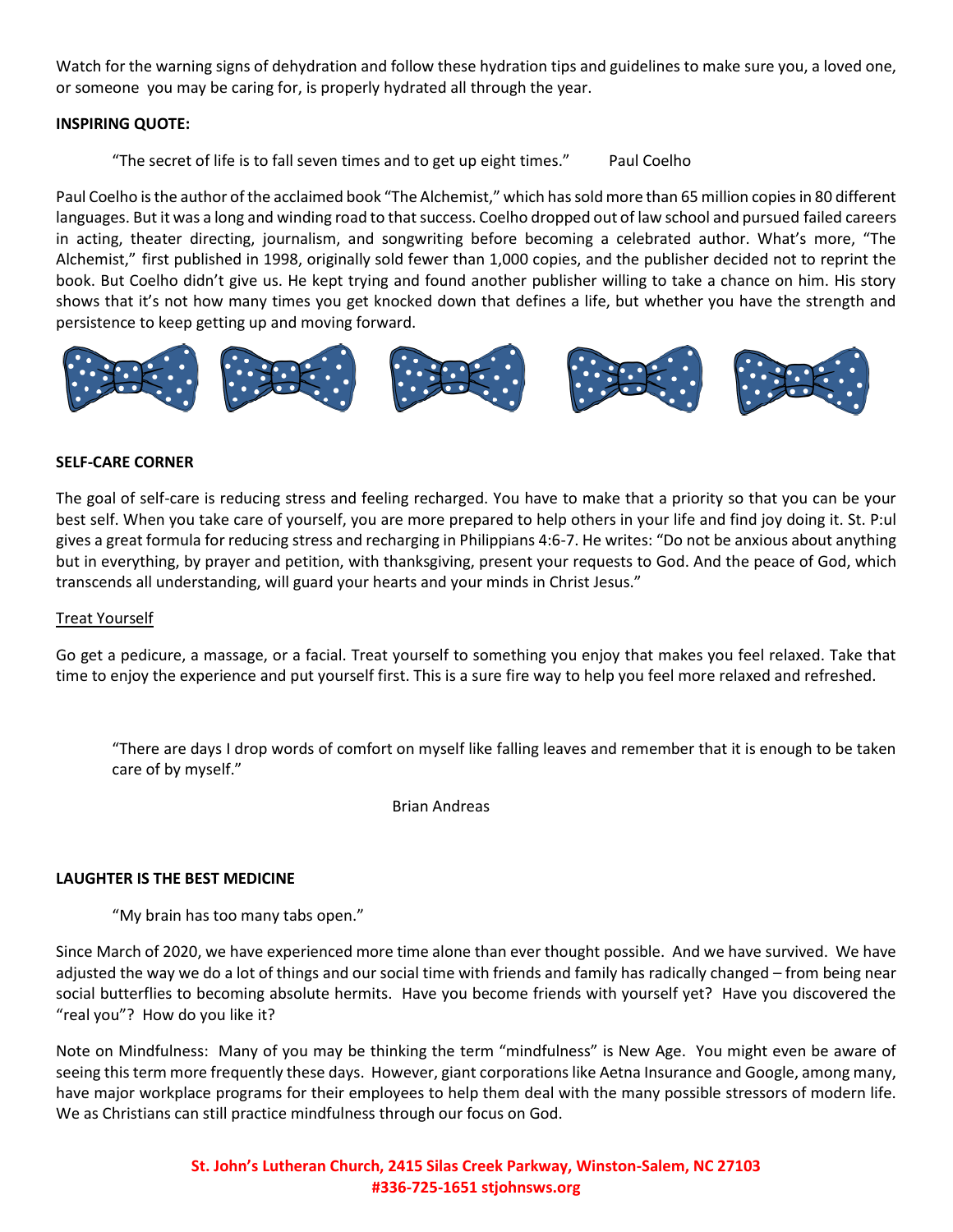Watch for the warning signs of dehydration and follow these hydration tips and guidelines to make sure you, a loved one, or someone you may be caring for, is properly hydrated all through the year.

#### **INSPIRING QUOTE:**

"The secret of life is to fall seven times and to get up eight times." Paul Coelho

Paul Coelho is the author of the acclaimed book "The Alchemist," which has sold more than 65 million copies in 80 different languages. But it was a long and winding road to that success. Coelho dropped out of law school and pursued failed careers in acting, theater directing, journalism, and songwriting before becoming a celebrated author. What's more, "The Alchemist," first published in 1998, originally sold fewer than 1,000 copies, and the publisher decided not to reprint the book. But Coelho didn't give us. He kept trying and found another publisher willing to take a chance on him. His story shows that it's not how many times you get knocked down that defines a life, but whether you have the strength and persistence to keep getting up and moving forward.



#### **SELF-CARE CORNER**

The goal of self-care is reducing stress and feeling recharged. You have to make that a priority so that you can be your best self. When you take care of yourself, you are more prepared to help others in your life and find joy doing it. St. P:ul gives a great formula for reducing stress and recharging in Philippians 4:6-7. He writes: "Do not be anxious about anything but in everything, by prayer and petition, with thanksgiving, present your requests to God. And the peace of God, which transcends all understanding, will guard your hearts and your minds in Christ Jesus."

#### Treat Yourself

Go get a pedicure, a massage, or a facial. Treat yourself to something you enjoy that makes you feel relaxed. Take that time to enjoy the experience and put yourself first. This is a sure fire way to help you feel more relaxed and refreshed.

"There are days I drop words of comfort on myself like falling leaves and remember that it is enough to be taken care of by myself."

Brian Andreas

#### **LAUGHTER IS THE BEST MEDICINE**

"My brain has too many tabs open."

Since March of 2020, we have experienced more time alone than ever thought possible. And we have survived. We have adjusted the way we do a lot of things and our social time with friends and family has radically changed – from being near social butterflies to becoming absolute hermits. Have you become friends with yourself yet? Have you discovered the "real you"? How do you like it?

Note on Mindfulness: Many of you may be thinking the term "mindfulness" is New Age. You might even be aware of seeing this term more frequently these days. However, giant corporations like Aetna Insurance and Google, among many, have major workplace programs for their employees to help them deal with the many possible stressors of modern life. We as Christians can still practice mindfulness through our focus on God.

> **St. John's Lutheran Church, 2415 Silas Creek Parkway, Winston-Salem, NC 27103 #336-725-1651 stjohnsws.org**